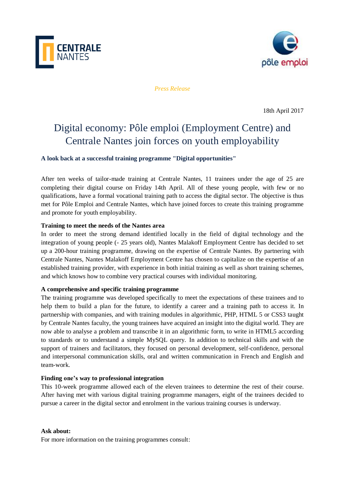



*Press Release*

18th April 2017

# Digital economy: Pôle emploi (Employment Centre) and Centrale Nantes join forces on youth employability

**A look back at a successful training programme "Digital opportunities"**

After ten weeks of tailor-made training at Centrale Nantes, 11 trainees under the age of 25 are completing their digital course on Friday 14th April. All of these young people, with few or no qualifications, have a formal vocational training path to access the digital sector. The objective is thus met for Pôle Emploi and Centrale Nantes, which have joined forces to create this training programme and promote for youth employability.

# **Training to meet the needs of the Nantes area**

In order to meet the strong demand identified locally in the field of digital technology and the integration of young people (- 25 years old), Nantes Malakoff Employment Centre has decided to set up a 200-hour training programme, drawing on the expertise of Centrale Nantes. By partnering with Centrale Nantes, Nantes Malakoff Employment Centre has chosen to capitalize on the expertise of an established training provider, with experience in both initial training as well as short training schemes, and which knows how to combine very practical courses with individual monitoring.

# **A comprehensive and specific training programme**

The training programme was developed specifically to meet the expectations of these trainees and to help them to build a plan for the future, to identify a career and a training path to access it. In partnership with companies, and with training modules in algorithmic, PHP, HTML 5 or CSS3 taught by Centrale Nantes faculty, the young trainees have acquired an insight into the digital world. They are now able to analyse a problem and transcribe it in an algorithmic form, to write in HTML5 according to standards or to understand a simple MySQL query. In addition to technical skills and with the support of trainers and facilitators, they focused on personal development, self-confidence, personal and interpersonal communication skills, oral and written communication in French and English and team-work.

### **Finding one's way to professional integration**

This 10-week programme allowed each of the eleven trainees to determine the rest of their course. After having met with various digital training programme managers, eight of the trainees decided to pursue a career in the digital sector and enrolment in the various training courses is underway.

### **Ask about:**

For more information on the training programmes consult: